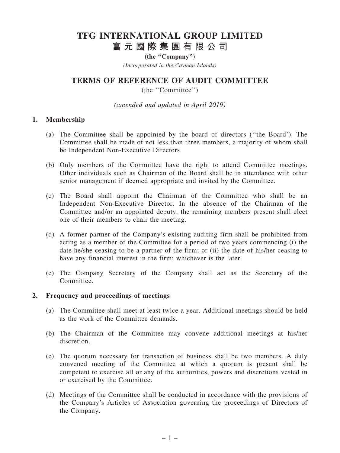# TFG INTERNATIONAL GROUP LIMITED 富 元 國 際 集 團 有 限 公 司

(the "Company")

(Incorporated in the Cayman Islands)

# TERMS OF REFERENCE OF AUDIT COMMITTEE

(the ''Committee'')

(amended and updated in April 2019)

# 1. Membership

- (a) The Committee shall be appointed by the board of directors (''the Board'). The Committee shall be made of not less than three members, a majority of whom shall be Independent Non-Executive Directors.
- (b) Only members of the Committee have the right to attend Committee meetings. Other individuals such as Chairman of the Board shall be in attendance with other senior management if deemed appropriate and invited by the Committee.
- (c) The Board shall appoint the Chairman of the Committee who shall be an Independent Non-Executive Director. In the absence of the Chairman of the Committee and/or an appointed deputy, the remaining members present shall elect one of their members to chair the meeting.
- (d) A former partner of the Company's existing auditing firm shall be prohibited from acting as a member of the Committee for a period of two years commencing (i) the date he/she ceasing to be a partner of the firm; or (ii) the date of his/her ceasing to have any financial interest in the firm; whichever is the later.
- (e) The Company Secretary of the Company shall act as the Secretary of the Committee.

# 2. Frequency and proceedings of meetings

- (a) The Committee shall meet at least twice a year. Additional meetings should be held as the work of the Committee demands.
- (b) The Chairman of the Committee may convene additional meetings at his/her discretion.
- (c) The quorum necessary for transaction of business shall be two members. A duly convened meeting of the Committee at which a quorum is present shall be competent to exercise all or any of the authorities, powers and discretions vested in or exercised by the Committee.
- (d) Meetings of the Committee shall be conducted in accordance with the provisions of the Company's Articles of Association governing the proceedings of Directors of the Company.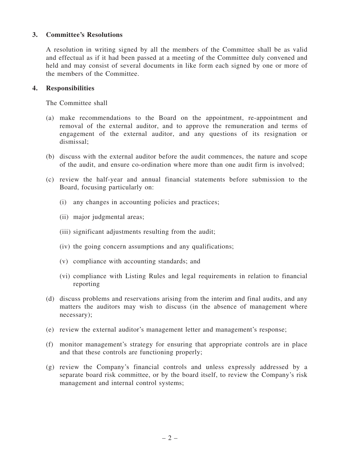# 3. Committee's Resolutions

A resolution in writing signed by all the members of the Committee shall be as valid and effectual as if it had been passed at a meeting of the Committee duly convened and held and may consist of several documents in like form each signed by one or more of the members of the Committee.

# 4. Responsibilities

The Committee shall

- (a) make recommendations to the Board on the appointment, re-appointment and removal of the external auditor, and to approve the remuneration and terms of engagement of the external auditor, and any questions of its resignation or dismissal;
- (b) discuss with the external auditor before the audit commences, the nature and scope of the audit, and ensure co-ordination where more than one audit firm is involved;
- (c) review the half-year and annual financial statements before submission to the Board, focusing particularly on:
	- (i) any changes in accounting policies and practices;
	- (ii) major judgmental areas;
	- (iii) significant adjustments resulting from the audit;
	- (iv) the going concern assumptions and any qualifications;
	- (v) compliance with accounting standards; and
	- (vi) compliance with Listing Rules and legal requirements in relation to financial reporting
- (d) discuss problems and reservations arising from the interim and final audits, and any matters the auditors may wish to discuss (in the absence of management where necessary);
- (e) review the external auditor's management letter and management's response;
- (f) monitor management's strategy for ensuring that appropriate controls are in place and that these controls are functioning properly;
- (g) review the Company's financial controls and unless expressly addressed by a separate board risk committee, or by the board itself, to review the Company's risk management and internal control systems;